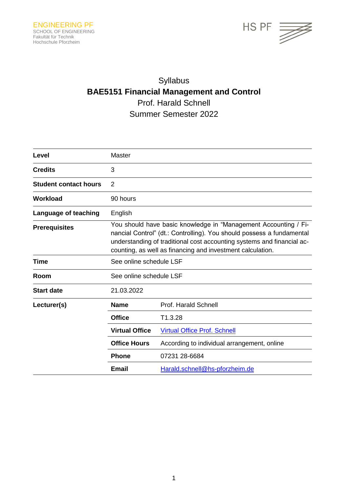

# Syllabus **BAE5151 Financial Management and Control** Prof. Harald Schnell Summer Semester 2022

| Level                        | Master                                                                                                                                                                                                                                                                           |                                             |
|------------------------------|----------------------------------------------------------------------------------------------------------------------------------------------------------------------------------------------------------------------------------------------------------------------------------|---------------------------------------------|
| <b>Credits</b>               | 3                                                                                                                                                                                                                                                                                |                                             |
| <b>Student contact hours</b> | $\overline{2}$                                                                                                                                                                                                                                                                   |                                             |
| Workload                     | 90 hours                                                                                                                                                                                                                                                                         |                                             |
| Language of teaching         | English                                                                                                                                                                                                                                                                          |                                             |
| <b>Prerequisites</b>         | You should have basic knowledge in "Management Accounting / Fi-<br>nancial Control" (dt.: Controlling). You should possess a fundamental<br>understanding of traditional cost accounting systems and financial ac-<br>counting, as well as financing and investment calculation. |                                             |
| <b>Time</b>                  | See online schedule LSF                                                                                                                                                                                                                                                          |                                             |
| Room                         | See online schedule LSF                                                                                                                                                                                                                                                          |                                             |
| <b>Start date</b>            | 21.03.2022                                                                                                                                                                                                                                                                       |                                             |
| Lecturer(s)                  | Name                                                                                                                                                                                                                                                                             | Prof. Harald Schnell                        |
|                              | <b>Office</b>                                                                                                                                                                                                                                                                    | T1.3.28                                     |
|                              | <b>Virtual Office</b>                                                                                                                                                                                                                                                            | Virtual Office Prof. Schnell                |
|                              | <b>Office Hours</b>                                                                                                                                                                                                                                                              | According to individual arrangement, online |
|                              | <b>Phone</b>                                                                                                                                                                                                                                                                     | 07231 28-6684                               |
|                              | <b>Email</b>                                                                                                                                                                                                                                                                     | Harald.schnell@hs-pforzheim.de              |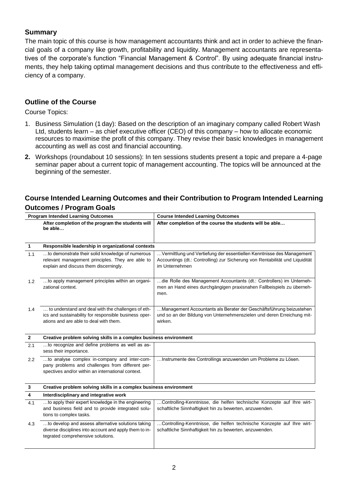## **Summary**

The main topic of this course is how management accountants think and act in order to achieve the financial goals of a company like growth, profitability and liquidity. Management accountants are representatives of the corporate's function "Financial Management & Control". By using adequate financial instruments, they help taking optimal management decisions and thus contribute to the effectiveness and efficiency of a company.

#### **Outline of the Course**

Course Topics:

- 1. Business Simulation (1 day): Based on the description of an imaginary company called Robert Wash Ltd, students learn – as chief executive officer (CEO) of this company – how to allocate economic resources to maximise the profit of this company. They revise their basic knowledges in management accounting as well as cost and financial accounting.
- **2.** Workshops (roundabout 10 sessions): In ten sessions students present a topic and prepare a 4-page seminar paper about a current topic of management accounting. The topics will be announced at the beginning of the semester.

## **Course Intended Learning Outcomes and their Contribution to Program Intended Learning Outcomes / Program Goals**

| <b>Program Intended Learning Outcomes</b> |                                                                                                                                                       | <b>Course Intended Learning Outcomes</b>                                                                                                                                |  |
|-------------------------------------------|-------------------------------------------------------------------------------------------------------------------------------------------------------|-------------------------------------------------------------------------------------------------------------------------------------------------------------------------|--|
|                                           | After completion of the program the students will<br>be able                                                                                          | After completion of the course the students will be able                                                                                                                |  |
| $\mathbf{1}$                              | Responsible leadership in organizational contexts                                                                                                     |                                                                                                                                                                         |  |
| 1.1                                       | to demonstrate their solid knowledge of numerous<br>relevant management principles. They are able to<br>explain and discuss them discerningly.        | Vermittlung und Vertiefung der essentiellen Kenntnisse des Management<br>Accountings (dt.: Controlling) zur Sicherung von Rentabilität und Liquidität<br>im Unternehmen |  |
| 1.2                                       | to apply management principles within an organi-<br>zational context.                                                                                 | die Rolle des Management Accountants (dt.: Controllers) im Unterneh-<br>men an Hand eines durchgängigen praxisnahen Fallbeispiels zu überneh-<br>men.                   |  |
| 1.4                                       | to understand and deal with the challenges of eth-<br>ics and sustainability for responsible business oper-<br>ations and are able to deal with them. | Management Accountants als Berater der Geschäftsführung beizustehen<br>und so an der Bildung von Unternehmenszielen und deren Erreichung mit-<br>wirken.                |  |
| $\mathbf{2}$                              | Creative problem solving skills in a complex business environment                                                                                     |                                                                                                                                                                         |  |
| 2.1                                       | to recognize and define problems as well as as-<br>sess their importance.                                                                             |                                                                                                                                                                         |  |
| 2.2                                       | to analyse complex in-company and inter-com-<br>pany problems and challenges from different per-<br>spectives and/or within an international context. | Instrumente des Controllings anzuwenden um Probleme zu Lösen.                                                                                                           |  |
| 3                                         | Creative problem solving skills in a complex business environment                                                                                     |                                                                                                                                                                         |  |
| 4                                         | Interdisciplinary and integrative work                                                                                                                |                                                                                                                                                                         |  |
| 4.1                                       | to apply their expert knowledge in the engineering<br>and business field and to provide integrated solu-<br>tions to complex tasks.                   | Controlling-Kenntnisse, die helfen technische Konzepte auf Ihre wirt-<br>schaftliche Sinnhaftigkeit hin zu bewerten, anzuwenden.                                        |  |
| 4.3                                       | to develop and assess alternative solutions taking<br>diverse disciplines into account and apply them to in-<br>tegrated comprehensive solutions.     | Controlling-Kenntnisse, die helfen technische Konzepte auf Ihre wirt-<br>schaftliche Sinnhaftigkeit hin zu bewerten, anzuwenden.                                        |  |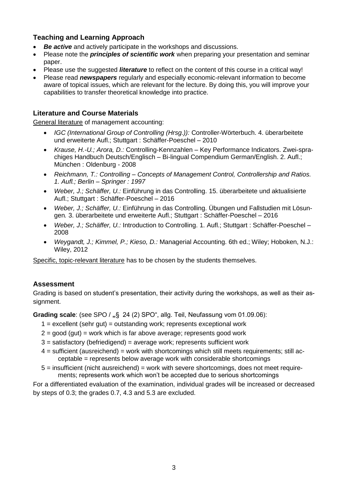## **Teaching and Learning Approach**

- *Be active* and actively participate in the workshops and discussions.
- Please note the *principles of scientific work* when preparing your presentation and seminar paper.
- Please use the suggested *literature* to reflect on the content of this course in a critical way!
- Please read *newspapers* regularly and especially economic-relevant information to become aware of topical issues, which are relevant for the lecture. By doing this, you will improve your capabilities to transfer theoretical knowledge into practice.

## **Literature and Course Materials**

General literature of management accounting:

- *IGC (International Group of Controlling (Hrsg.)):* Controller-Wörterbuch. 4. überarbeitete und erweiterte Aufl.; Stuttgart : Schäffer-Poeschel – 2010
- *Krause, H.-U.; Arora, D.:* Controlling-Kennzahlen Key Performance Indicators. Zwei-sprachiges Handbuch Deutsch/Englisch – Bi-lingual Compendium German/English. 2. Aufl.; München : Oldenburg - 2008
- *Reichmann, T.: Controlling – Concepts of Management Control, Controllership and Ratios. 1. Aufl.; Berlin – Springer : 1997*
- *Weber, J.; Schäffer, U.:* Einführung in das Controlling. 15. überarbeitete und aktualisierte Aufl.; Stuttgart : Schäffer-Poeschel – 2016
- *Weber, J.; Schäffer, U.:* Einführung in das Controlling. Übungen und Fallstudien mit Lösungen*.* 3. überarbeitete und erweiterte Aufl.; Stuttgart : Schäffer-Poeschel – 2016
- *Weber, J.; Schäffer, U.:* Introduction to Controlling. 1. Aufl.; Stuttgart : Schäffer-Poeschel 2008
- *Weygandt, J.; Kimmel, P.; Kieso, D.:* Managerial Accounting. 6th ed.; Wiley; Hoboken, N.J.: Wiley, 2012

Specific, topic-relevant literature has to be chosen by the students themselves.

#### **Assessment**

Grading is based on student's presentation, their activity during the workshops, as well as their assignment.

**Grading scale**: (see SPO / ..§ 24 (2) SPO", allg. Teil, Neufassung vom 01.09.06):

- $1 =$  excellent (sehr gut) = outstanding work; represents exceptional work
- $2 =$  good (gut) = work which is far above average; represents good work
- $3$  = satisfactory (befriedigend) = average work; represents sufficient work
- $4 =$  sufficient (ausreichend) = work with shortcomings which still meets requirements; still acceptable = represents below average work with considerable shortcomings
- 5 = insufficient (nicht ausreichend) = work with severe shortcomings, does not meet requirements; represents work which won't be accepted due to serious shortcomings

For a differentiated evaluation of the examination, individual grades will be increased or decreased by steps of 0.3; the grades 0.7, 4.3 and 5.3 are excluded.